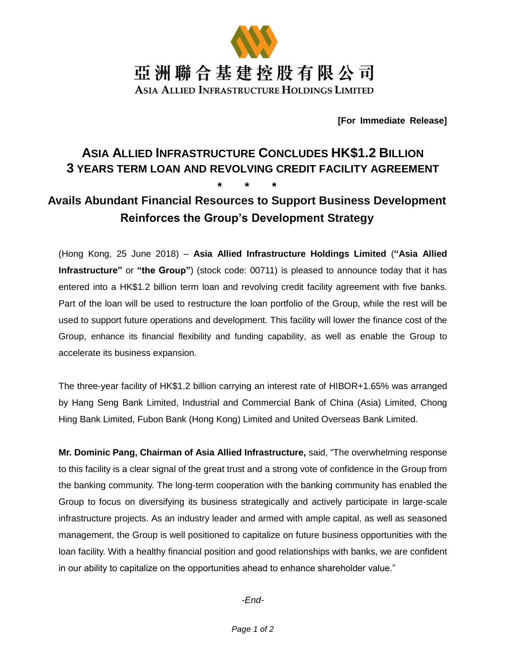

**[For Immediate Release]**

# **ASIA ALLIED INFRASTRUCTURE CONCLUDES HK\$1.2 BILLION 3 YEARS TERM LOAN AND REVOLVING CREDIT FACILITY AGREEMENT \* \* \***

## **Avails Abundant Financial Resources to Support Business Development Reinforces the Group's Development Strategy**

(Hong Kong, 25 June 2018) – **Asia Allied Infrastructure Holdings Limited** (**"Asia Allied Infrastructure"** or **"the Group"**) (stock code: 00711) is pleased to announce today that it has entered into a HK\$1.2 billion term loan and revolving credit facility agreement with five banks. Part of the loan will be used to restructure the loan portfolio of the Group, while the rest will be used to support future operations and development. This facility will lower the finance cost of the Group, enhance its financial flexibility and funding capability, as well as enable the Group to accelerate its business expansion.

The three-year facility of HK\$1.2 billion carrying an interest rate of HIBOR+1.65% was arranged by Hang Seng Bank Limited, Industrial and Commercial Bank of China (Asia) Limited, Chong Hing Bank Limited, Fubon Bank (Hong Kong) Limited and United Overseas Bank Limited.

**Mr. Dominic Pang, Chairman of Asia Allied Infrastructure,** said, "The overwhelming response to this facility is a clear signal of the great trust and a strong vote of confidence in the Group from the banking community. The long-term cooperation with the banking community has enabled the Group to focus on diversifying its business strategically and actively participate in large-scale infrastructure projects. As an industry leader and armed with ample capital, as well as seasoned management, the Group is well positioned to capitalize on future business opportunities with the loan facility. With a healthy financial position and good relationships with banks, we are confident in our ability to capitalize on the opportunities ahead to enhance shareholder value."

*-End-*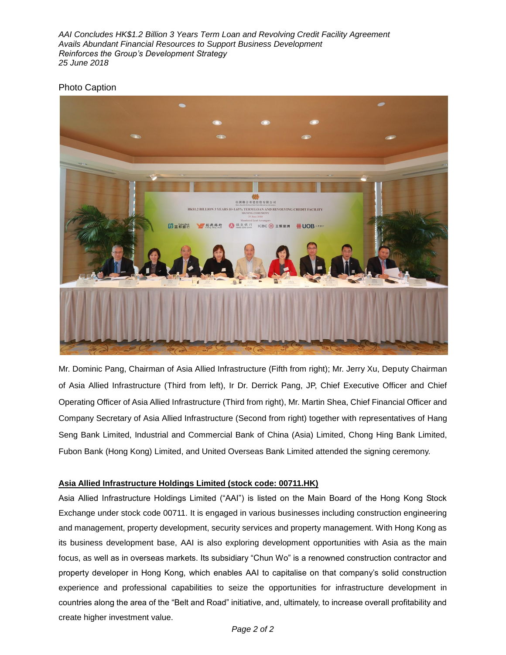*AAI Concludes HK\$1.2 Billion 3 Years Term Loan and Revolving Credit Facility Agreement Avails Abundant Financial Resources to Support Business Development Reinforces the Group's Development Strategy 25 June 2018*

#### Photo Caption



Mr. Dominic Pang, Chairman of Asia Allied Infrastructure (Fifth from right); Mr. Jerry Xu, Deputy Chairman of Asia Allied Infrastructure (Third from left), Ir Dr. Derrick Pang, JP, Chief Executive Officer and Chief Operating Officer of Asia Allied Infrastructure (Third from right), Mr. Martin Shea, Chief Financial Officer and Company Secretary of Asia Allied Infrastructure (Second from right) together with representatives of Hang Seng Bank Limited, Industrial and Commercial Bank of China (Asia) Limited, Chong Hing Bank Limited, Fubon Bank (Hong Kong) Limited, and United Overseas Bank Limited attended the signing ceremony.

#### **Asia Allied Infrastructure Holdings Limited (stock code: 00711.HK)**

Asia Allied Infrastructure Holdings Limited ("AAI") is listed on the Main Board of the Hong Kong Stock Exchange under stock code 00711. It is engaged in various businesses including construction engineering and management, property development, security services and property management. With Hong Kong as its business development base, AAI is also exploring development opportunities with Asia as the main focus, as well as in overseas markets. Its subsidiary "Chun Wo" is a renowned construction contractor and property developer in Hong Kong, which enables AAI to capitalise on that company's solid construction experience and professional capabilities to seize the opportunities for infrastructure development in countries along the area of the "Belt and Road" initiative, and, ultimately, to increase overall profitability and create higher investment value.